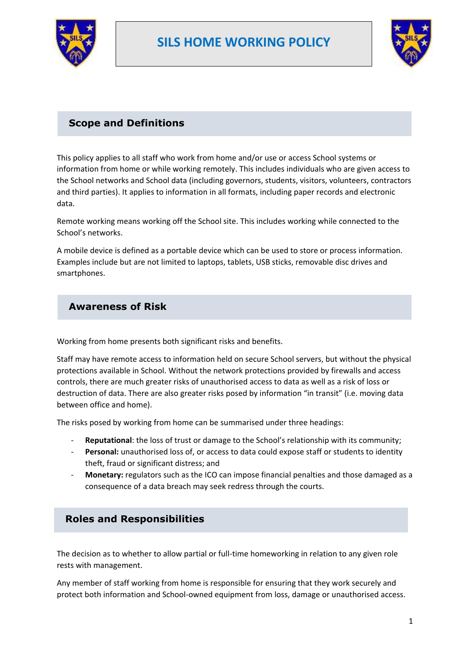



### **Scope and Definitions**

This policy applies to all staff who work from home and/or use or access School systems or information from home or while working remotely. This includes individuals who are given access to the School networks and School data (including governors, students, visitors, volunteers, contractors and third parties). It applies to information in all formats, including paper records and electronic data.

Remote working means working off the School site. This includes working while connected to the School's networks.

A mobile device is defined as a portable device which can be used to store or process information. Examples include but are not limited to laptops, tablets, USB sticks, removable disc drives and smartphones.

#### **Awareness of Risk**

Working from home presents both significant risks and benefits.

Staff may have remote access to information held on secure School servers, but without the physical protections available in School. Without the network protections provided by firewalls and access controls, there are much greater risks of unauthorised access to data as well as a risk of loss or destruction of data. There are also greater risks posed by information "in transit" (i.e. moving data between office and home).

The risks posed by working from home can be summarised under three headings:

- **Reputational**: the loss of trust or damage to the School's relationship with its community;
- Personal: unauthorised loss of, or access to data could expose staff or students to identity theft, fraud or significant distress; and
- Monetary: regulators such as the ICO can impose financial penalties and those damaged as a consequence of a data breach may seek redress through the courts.

#### **Roles and Responsibilities**

The decision as to whether to allow partial or full-time homeworking in relation to any given role rests with management.

Any member of staff working from home is responsible for ensuring that they work securely and protect both information and School-owned equipment from loss, damage or unauthorised access.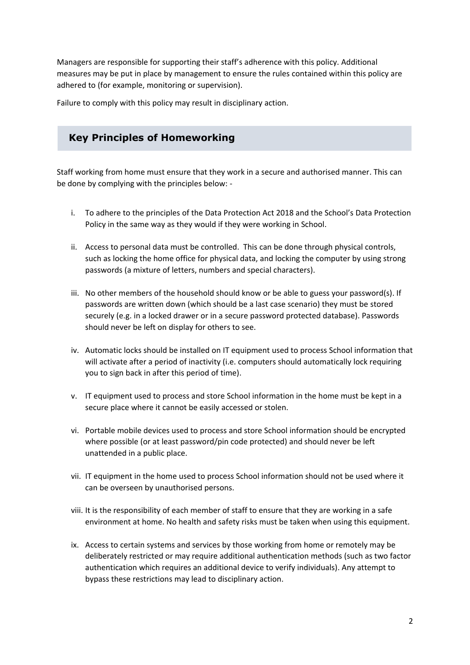Managers are responsible for supporting their staff's adherence with this policy. Additional measures may be put in place by management to ensure the rules contained within this policy are adhered to (for example, monitoring or supervision).

Failure to comply with this policy may result in disciplinary action.

### **Key Principles of Homeworking**

Staff working from home must ensure that they work in a secure and authorised manner. This can be done by complying with the principles below: -

- i. To adhere to the principles of the Data Protection Act 2018 and the School's Data Protection Policy in the same way as they would if they were working in School.
- ii. Access to personal data must be controlled. This can be done through physical controls, such as locking the home office for physical data, and locking the computer by using strong passwords (a mixture of letters, numbers and special characters).
- iii. No other members of the household should know or be able to guess your password(s). If passwords are written down (which should be a last case scenario) they must be stored securely (e.g. in a locked drawer or in a secure password protected database). Passwords should never be left on display for others to see.
- iv. Automatic locks should be installed on IT equipment used to process School information that will activate after a period of inactivity (i.e. computers should automatically lock requiring you to sign back in after this period of time).
- v. IT equipment used to process and store School information in the home must be kept in a secure place where it cannot be easily accessed or stolen.
- vi. Portable mobile devices used to process and store School information should be encrypted where possible (or at least password/pin code protected) and should never be left unattended in a public place.
- vii. IT equipment in the home used to process School information should not be used where it can be overseen by unauthorised persons.
- viii. It is the responsibility of each member of staff to ensure that they are working in a safe environment at home. No health and safety risks must be taken when using this equipment.
- ix. Access to certain systems and services by those working from home or remotely may be deliberately restricted or may require additional authentication methods (such as two factor authentication which requires an additional device to verify individuals). Any attempt to bypass these restrictions may lead to disciplinary action.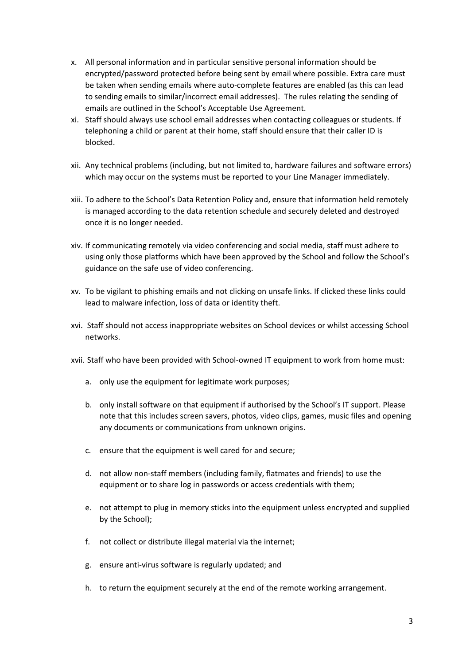- x. All personal information and in particular sensitive personal information should be encrypted/password protected before being sent by email where possible. Extra care must be taken when sending emails where auto-complete features are enabled (as this can lead to sending emails to similar/incorrect email addresses). The rules relating the sending of emails are outlined in the School's Acceptable Use Agreement.
- xi. Staff should always use school email addresses when contacting colleagues or students. If telephoning a child or parent at their home, staff should ensure that their caller ID is blocked.
- xii. Any technical problems (including, but not limited to, hardware failures and software errors) which may occur on the systems must be reported to your Line Manager immediately.
- xiii. To adhere to the School's Data Retention Policy and, ensure that information held remotely is managed according to the data retention schedule and securely deleted and destroyed once it is no longer needed.
- xiv. If communicating remotely via video conferencing and social media, staff must adhere to using only those platforms which have been approved by the School and follow the School's guidance on the safe use of video conferencing.
- xv. To be vigilant to phishing emails and not clicking on unsafe links. If clicked these links could lead to malware infection, loss of data or identity theft.
- xvi. Staff should not access inappropriate websites on School devices or whilst accessing School networks.
- xvii. Staff who have been provided with School-owned IT equipment to work from home must:
	- a. only use the equipment for legitimate work purposes;
	- b. only install software on that equipment if authorised by the School's IT support. Please note that this includes screen savers, photos, video clips, games, music files and opening any documents or communications from unknown origins.
	- c. ensure that the equipment is well cared for and secure;
	- d. not allow non-staff members (including family, flatmates and friends) to use the equipment or to share log in passwords or access credentials with them;
	- e. not attempt to plug in memory sticks into the equipment unless encrypted and supplied by the School);
	- f. not collect or distribute illegal material via the internet;
	- g. ensure anti-virus software is regularly updated; and
	- h. to return the equipment securely at the end of the remote working arrangement.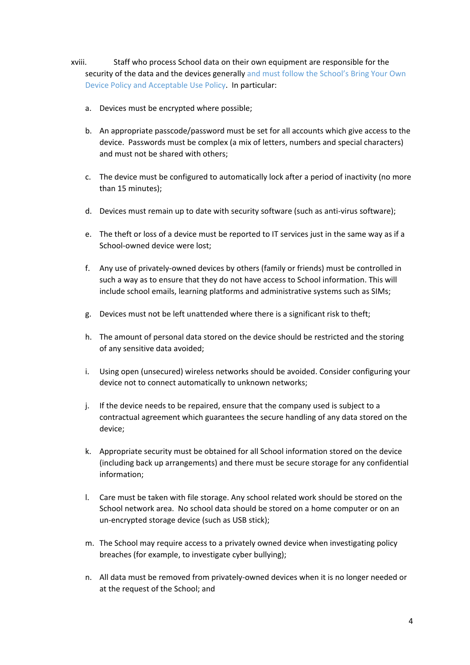- xviii. Staff who process School data on their own equipment are responsible for the security of the data and the devices generally and must follow the School's Bring Your Own Device Policy and Acceptable Use Policy. In particular:
	- a. Devices must be encrypted where possible;
	- b. An appropriate passcode/password must be set for all accounts which give access to the device. Passwords must be complex (a mix of letters, numbers and special characters) and must not be shared with others;
	- c. The device must be configured to automatically lock after a period of inactivity (no more than 15 minutes);
	- d. Devices must remain up to date with security software (such as anti-virus software);
	- e. The theft or loss of a device must be reported to IT services just in the same way as if a School-owned device were lost;
	- f. Any use of privately-owned devices by others (family or friends) must be controlled in such a way as to ensure that they do not have access to School information. This will include school emails, learning platforms and administrative systems such as SIMs;
	- g. Devices must not be left unattended where there is a significant risk to theft;
	- h. The amount of personal data stored on the device should be restricted and the storing of any sensitive data avoided;
	- i. Using open (unsecured) wireless networks should be avoided. Consider configuring your device not to connect automatically to unknown networks;
	- j. If the device needs to be repaired, ensure that the company used is subject to a contractual agreement which guarantees the secure handling of any data stored on the device;
	- k. Appropriate security must be obtained for all School information stored on the device (including back up arrangements) and there must be secure storage for any confidential information;
	- l. Care must be taken with file storage. Any school related work should be stored on the School network area. No school data should be stored on a home computer or on an un-encrypted storage device (such as USB stick);
	- m. The School may require access to a privately owned device when investigating policy breaches (for example, to investigate cyber bullying);
	- n. All data must be removed from privately-owned devices when it is no longer needed or at the request of the School; and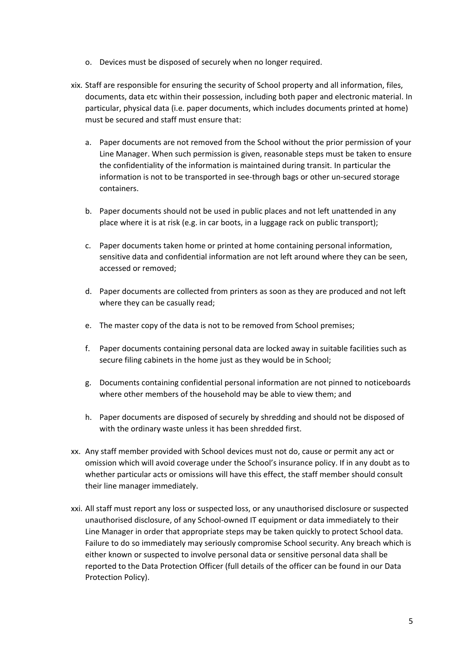- o. Devices must be disposed of securely when no longer required.
- xix. Staff are responsible for ensuring the security of School property and all information, files, documents, data etc within their possession, including both paper and electronic material. In particular, physical data (i.e. paper documents, which includes documents printed at home) must be secured and staff must ensure that:
	- a. Paper documents are not removed from the School without the prior permission of your Line Manager. When such permission is given, reasonable steps must be taken to ensure the confidentiality of the information is maintained during transit. In particular the information is not to be transported in see-through bags or other un-secured storage containers.
	- b. Paper documents should not be used in public places and not left unattended in any place where it is at risk (e.g. in car boots, in a luggage rack on public transport);
	- c. Paper documents taken home or printed at home containing personal information, sensitive data and confidential information are not left around where they can be seen, accessed or removed;
	- d. Paper documents are collected from printers as soon as they are produced and not left where they can be casually read;
	- e. The master copy of the data is not to be removed from School premises;
	- f. Paper documents containing personal data are locked away in suitable facilities such as secure filing cabinets in the home just as they would be in School;
	- g. Documents containing confidential personal information are not pinned to noticeboards where other members of the household may be able to view them; and
	- h. Paper documents are disposed of securely by shredding and should not be disposed of with the ordinary waste unless it has been shredded first.
- xx. Any staff member provided with School devices must not do, cause or permit any act or omission which will avoid coverage under the School's insurance policy. If in any doubt as to whether particular acts or omissions will have this effect, the staff member should consult their line manager immediately.
- xxi. All staff must report any loss or suspected loss, or any unauthorised disclosure or suspected unauthorised disclosure, of any School-owned IT equipment or data immediately to their Line Manager in order that appropriate steps may be taken quickly to protect School data. Failure to do so immediately may seriously compromise School security. Any breach which is either known or suspected to involve personal data or sensitive personal data shall be reported to the Data Protection Officer (full details of the officer can be found in our Data Protection Policy).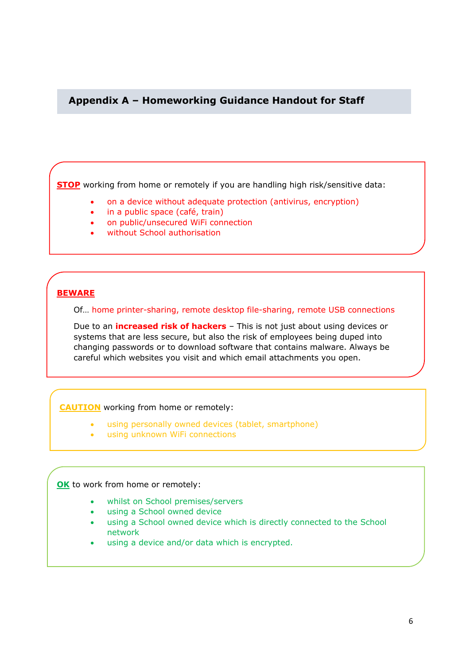#### **Appendix A – Homeworking Guidance Handout for Staff**

**STOP** working from home or remotely if you are handling high risk/sensitive data:

- on a device without adequate protection (antivirus, encryption)
- in a public space (café, train)
- on public/unsecured WiFi connection
- without School authorisation

#### **BEWARE**

Ĩ

Of… home printer-sharing, remote desktop file-sharing, remote USB connections

Due to an **increased risk of hackers** – This is not just about using devices or systems that are less secure, but also the risk of employees being duped into changing passwords or to download software that contains malware. Always be careful which websites you visit and which email attachments you open.

**CAUTION** working from home or remotely:

- using personally owned devices (tablet, smartphone)
- using unknown WiFi connections

**OK** to work from home or remotely:

- whilst on School premises/servers
- using a School owned device
- using a School owned device which is directly connected to the School network
- using a device and/or data which is encrypted.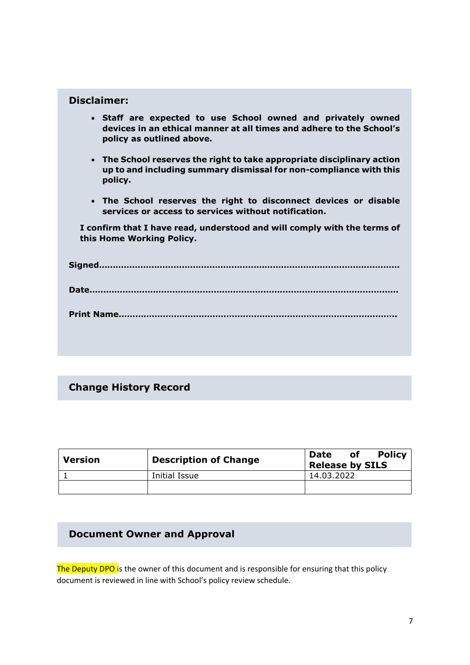| Discialmer:                                                                                                                                                       |  |  |
|-------------------------------------------------------------------------------------------------------------------------------------------------------------------|--|--|
| • Staff are expected to use School owned and privately owned<br>devices in an ethical manner at all times and adhere to the School's<br>policy as outlined above. |  |  |
| • The School reserves the right to take appropriate disciplinary action<br>up to and including summary dismissal for non-compliance with this<br>policy.          |  |  |
| • The School reserves the right to disconnect devices or disable<br>services or access to services without notification.                                          |  |  |
| I confirm that I have read, understood and will comply with the terms of<br>this Home Working Policy.                                                             |  |  |
|                                                                                                                                                                   |  |  |
|                                                                                                                                                                   |  |  |
|                                                                                                                                                                   |  |  |
|                                                                                                                                                                   |  |  |

# **Change History Record**

**Disclaimer:**

| <b>Version</b> | <b>Description of Change</b> | <b>Policy</b><br>Date<br>of<br><b>Release by SILS</b> |
|----------------|------------------------------|-------------------------------------------------------|
|                | Initial Issue                | 14.03.2022                                            |
|                |                              |                                                       |

# **Document Owner and Approval**

The Deputy DPO is the owner of this document and is responsible for ensuring that this policy document is reviewed in line with School's policy review schedule.